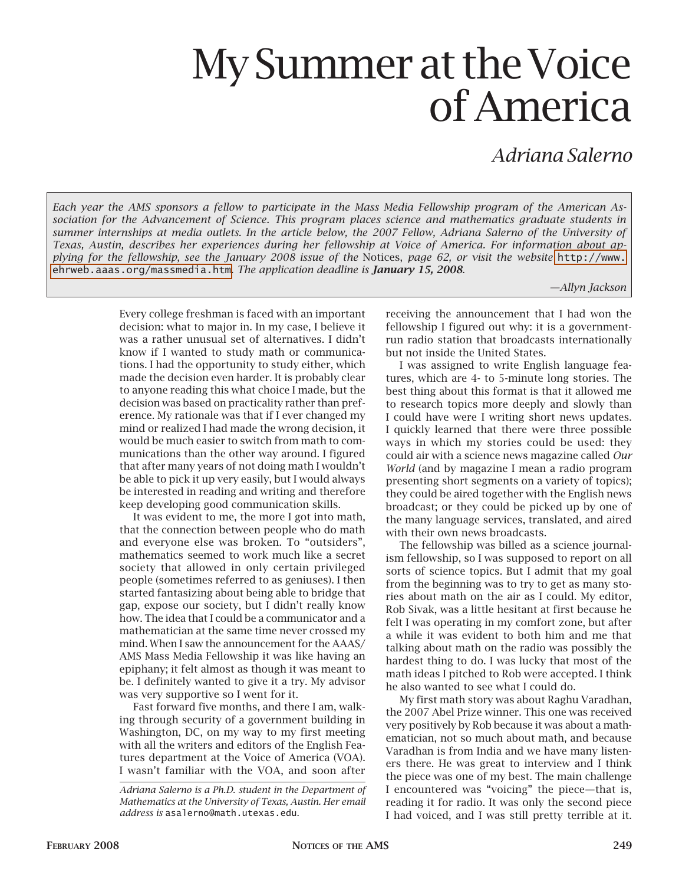## My Summer at the Voice of America

*Adriana Salerno*

*Each year the AMS sponsors a fellow to participate in the Mass Media Fellowship program of the American Association for the Advancement of Science. This program places science and mathematics graduate students in summer internships at media outlets. In the article below, the 2007 Fellow, Adriana Salerno of the University of Texas, Austin, describes her experiences during her fellowship at Voice of America. For information about applying for the fellowship, see the January 2008 issue of the* Notices, *page 62, or visit the website* [http://www.](http://www.ehrweb.aaas.org/massmedia.htm) [ehrweb.aaas.org/massmedia.htm](http://www.ehrweb.aaas.org/massmedia.htm). *The application deadline is January 15, 2008*.

*—Allyn Jackson*

Every college freshman is faced with an important decision: what to major in. In my case, I believe it was a rather unusual set of alternatives. I didn't know if I wanted to study math or communications. I had the opportunity to study either, which made the decision even harder. It is probably clear to anyone reading this what choice I made, but the decision was based on practicality rather than preference. My rationale was that if I ever changed my mind or realized I had made the wrong decision, it would be much easier to switch from math to communications than the other way around. I figured that after many years of not doing math I wouldn't be able to pick it up very easily, but I would always be interested in reading and writing and therefore keep developing good communication skills.

It was evident to me, the more I got into math, that the connection between people who do math and everyone else was broken. To "outsiders", mathematics seemed to work much like a secret society that allowed in only certain privileged people (sometimes referred to as geniuses). I then started fantasizing about being able to bridge that gap, expose our society, but I didn't really know how. The idea that I could be a communicator and a mathematician at the same time never crossed my mind. When I saw the announcement for the AAAS/ AMS Mass Media Fellowship it was like having an epiphany; it felt almost as though it was meant to be. I definitely wanted to give it a try. My advisor was very supportive so I went for it.

Fast forward five months, and there I am, walking through security of a government building in Washington, DC, on my way to my first meeting with all the writers and editors of the English Features department at the Voice of America (VOA). I wasn't familiar with the VOA, and soon after

receiving the announcement that I had won the fellowship I figured out why: it is a governmentrun radio station that broadcasts internationally but not inside the United States.

I was assigned to write English language features, which are 4- to 5-minute long stories. The best thing about this format is that it allowed me to research topics more deeply and slowly than I could have were I writing short news updates. I quickly learned that there were three possible ways in which my stories could be used: they could air with a science news magazine called *Our World* (and by magazine I mean a radio program presenting short segments on a variety of topics); they could be aired together with the English news broadcast; or they could be picked up by one of the many language services, translated, and aired with their own news broadcasts.

The fellowship was billed as a science journalism fellowship, so I was supposed to report on all sorts of science topics. But I admit that my goal from the beginning was to try to get as many stories about math on the air as I could. My editor, Rob Sivak, was a little hesitant at first because he felt I was operating in my comfort zone, but after a while it was evident to both him and me that talking about math on the radio was possibly the hardest thing to do. I was lucky that most of the math ideas I pitched to Rob were accepted. I think he also wanted to see what I could do.

My first math story was about Raghu Varadhan, the 2007 Abel Prize winner. This one was received very positively by Rob because it was about a mathematician, not so much about math, and because Varadhan is from India and we have many listeners there. He was great to interview and I think the piece was one of my best. The main challenge I encountered was "voicing" the piece—that is, reading it for radio. It was only the second piece I had voiced, and I was still pretty terrible at it.

*Adriana Salerno is a Ph.D. student in the Department of Mathematics at the University of Texas, Austin. Her email address is* asalerno@math.utexas.edu*.*